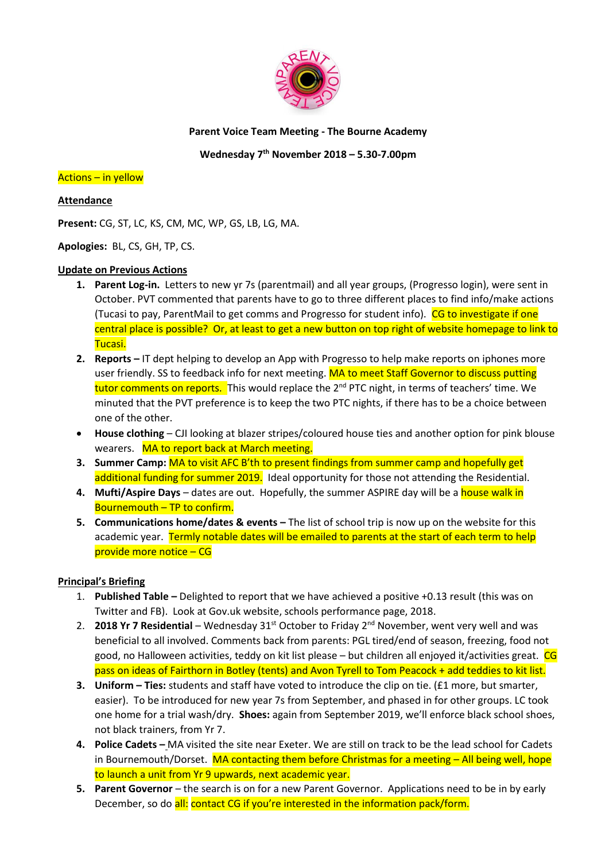

#### **Parent Voice Team Meeting - The Bourne Academy**

## **Wednesday 7 th November 2018 – 5.30-7.00pm**

#### Actions – in yellow

#### **Attendance**

**Present:** CG, ST, LC, KS, CM, MC, WP, GS, LB, LG, MA.

**Apologies:** BL, CS, GH, TP, CS.

#### **Update on Previous Actions**

- **1. Parent Log-in.** Letters to new yr 7s (parentmail) and all year groups, (Progresso login), were sent in October. PVT commented that parents have to go to three different places to find info/make actions (Tucasi to pay, ParentMail to get comms and Progresso for student info). CG to investigate if one central place is possible? Or, at least to get a new button on top right of website homepage to link to Tucasi.
- **2. Reports –** IT dept helping to develop an App with Progresso to help make reports on iphones more user friendly. SS to feedback info for next meeting. MA to meet Staff Governor to discuss putting tutor comments on reports. This would replace the 2<sup>nd</sup> PTC night, in terms of teachers' time. We minuted that the PVT preference is to keep the two PTC nights, if there has to be a choice between one of the other.
- **House clothing** CJI looking at blazer stripes/coloured house ties and another option for pink blouse wearers. MA to report back at March meeting.
- **3. Summer Camp:** MA to visit AFC B'th to present findings from summer camp and hopefully get additional funding for summer 2019. Ideal opportunity for those not attending the Residential.
- 4. Mufti/Aspire Days dates are out. Hopefully, the summer ASPIRE day will be a house walk in Bournemouth – TP to confirm.
- **5. Communications home/dates & events –** The list of school trip is now up on the website for this academic year. Termly notable dates will be emailed to parents at the start of each term to help provide more notice – CG

### **Principal's Briefing**

- 1. **Published Table –** Delighted to report that we have achieved a positive +0.13 result (this was on Twitter and FB). Look at Gov.uk website, schools performance page, 2018.
- 2. **2018 Yr 7 Residential** Wednesday 31<sup>st</sup> October to Friday 2<sup>nd</sup> November, went very well and was beneficial to all involved. Comments back from parents: PGL tired/end of season, freezing, food not good, no Halloween activities, teddy on kit list please – but children all enjoyed it/activities great. CG pass on ideas of Fairthorn in Botley (tents) and Avon Tyrell to Tom Peacock + add teddies to kit list.
- **3. Uniform – Ties:** students and staff have voted to introduce the clip on tie. (£1 more, but smarter, easier). To be introduced for new year 7s from September, and phased in for other groups. LC took one home for a trial wash/dry. **Shoes:** again from September 2019, we'll enforce black school shoes, not black trainers, from Yr 7.
- **4. Police Cadets –** MA visited the site near Exeter. We are still on track to be the lead school for Cadets in Bournemouth/Dorset. MA contacting them before Christmas for a meeting - All being well, hope to launch a unit from Yr 9 upwards, next academic year.
- **5. Parent Governor**  the search is on for a new Parent Governor. Applications need to be in by early December, so do all: contact CG if you're interested in the information pack/form.